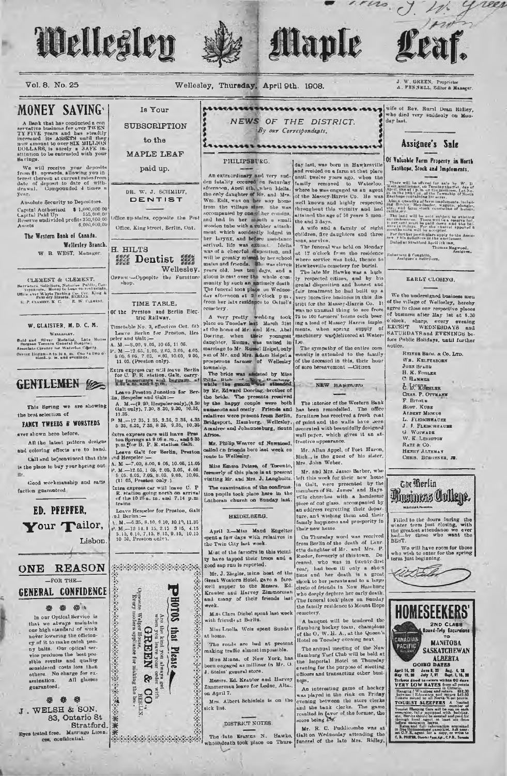





NEWS OF THE DISTRICT.

By our Correspondents.

Wellesley, Thursday, April 9th. 1908.

**PHILIPSBI'RG** 

An extraordinary and very sud-<br>len fatality occured on Saturday

at a manning control of Mr. and Mrs.<br>the only daughter of Mr. and Mrs.<br>Wm. Eidt, was on her way home from the village store. She was

ccompanied by one of her consins.

and had in her mouth a small

ment which accidently lodged in

arrived. He was akinet Idella was of a cheerful disposition, and

with the greatly missed to the school<br>with the greatly missed by her school<br>mates and friends. She was eleven<br>years old, less tone days, and a<br>gloom is east over the whole com-<br>munity by such an antimely death

The function of the photon of Wednesday afternoon at 2 o'clock pm, from her lats residence to Ostzel's

A very profty wedding took<br>place on Tuesdav keit March 31st<br>at the home of Mr. and Mrs. Absl

a compare of any short and also compare damphier, Emma, was united in marriage to Mr. Rumal Heipel, only son of Mr. and Mrs. Adam Heipel a

prosperous farmer of Wellesley

The bride was addeted by Miss

Mr. Philip Weaver of Newal

called on friends here last week on<br>roate to Wellesley.

Miss Emma Paters, of Toronto,

fermerly of this place is at present<br>visiting Mr. and Mrs. J. Langholtz.

The examination of the confirma

tion pupils took place hare in the Lutheran church on Sunday last.

HEIDELBERG.

April 3.-Miss Maud Engelter

-pent a few days with relatives in<br>the Twin City has week.

Mat of the farmers in this vicinity have tapped their trees and a good sap run is reported.

Miss Clara Diebel spont last week

Miss Luella Weis spent Sunday

The roads are bad at present<br>making traffic almostimpossible.

Miss Minna, of New York, has

been engaged as milliner in Mr. O.

with friends at Barlin.

J. Steiss' general store.

ceme terr

wnahip

Afri

Tillia Risk .

larynx, and before useistance

Vol. 8. No. 25

# MONEY SAVING

A Bank that has conducted a con-<br>servative business for over TWEN<br>TY FIVE years and has steadily<br>increased its ASSETS until they<br>now amount to over SIX MILLON<br>now amount to over SIX MILLON now amount to over SIA Millions.<br>DOLLARS, is surely a SAFE in-<br>stitution to be entrusted with your<br>Bavings.

We will receive your deposits<br>from \$1. opwards, allowing you interest theroun at current rates from<br>drate of deposit to date of with-<br>drawal. Compounded 4 times a

Ansolute Security to Depositors Capital Authorized  $$1,000,00000$ <br>Capital Paid Up  $$55,000,000$ <br>Reserve andivided profits 350,000,00<br>As-sta  $$6,000,000,00$ 

The Western Bank of Canada. Wellesley Branch. W B. WEST, Manager.

CLEMENT & CLEMENT. Narrietars, Solicitors, Notarius Pablic, Contrattists, Notarius Pablic, Contrattists, Notarius Pablic, Contrattists, Notarius Pablic, Contrattists, Notarius Pablic Pablic Paper Whyte Paul dry Sirvers, BERT, N.S.<br>E. P. CLEM

## W. GLAISTER, M. D. C. M.

WELLERLEY. Gold and Silver Medatist, Late Hersen, Surgeon Tecanto General Hospitz, Orviez Hoppe-a to 10 a. m. One to two o slock, p. m. and evenings.



This Spring we are showing the best selection of

FANCY TWEEDS & WORSTEDS ever shown here before.

All the latest pattern designs and coloring effects are to hand.

Call and be convinced that this is the place to buy your bpring out-

H<sub>1</sub> Good worknianship and satis

faction guaranteed

# ED. PFEFFER. Your Tailor, Lisbon



In our Optical Service is that we always muintain<br>our high standard of work never lowering the officion-<br>cy of it to make catch penny baits. Our optical serhe produces the best post siblo sonsidered costs less than amination.<br>guaranteed. All glasses

器 發 發 J. WELSH & SON. 83, Ontario St Stratford. ted free. Marriage Lie<br>com, confidential. Eyes tested free.

**SUBSCRIPTION** to the **MAPLE LEAF** 

Is Your

paid up. DR. W. J. SCHMIDT,

DENTIST Office up-stairs, opposite the Post

Office, King Street, Berlin, Ont.

H. HILTS **For Dentist** Wellesley. **Олинск** -Oppopite the Furniture

TIME TABLE.

»hop.

Of the Preston and Berlin Elec-<br>tric Railway.

Timetable No. 3, effective Oct. 5th Therefore not a, encore the Health Line<br>
pelone and Galtherman (1888)<br>  $A$  M<sub>1</sub> - 3 (00), 9 (05), 10 (05, 11 (05)<br>  $P$ , M<sub>1</sub> - 12 (65, 1, 05, 10 (05, 11 (05)<br>  $B$ , 6 (6), 6 (6), 7 (05, 2, 05, 3, 06, 8, 9 (06, 6), 11, 05, (

Extra express car will leave Berlin for C. P. R. station, Galt, carry-

Leave Preston Junction for Ber<br>p. Hespeler and Galt:-A. M.-(2, 20, Hespeler only), (6.30<br>Galt only), 7.30, 8.30, 9.30, 10.35,<br>11.35.

P M, -12 35, 1.35, 2.36, 3.35, 4,35<br>5 35, 6.35, 7.35, 8 35, 9.35, 10.35

Sxtra express cars will leave Press ton Springs at 9.06 a.ra., and 6.35<br>p.m. for B. P. R. station Galt.

Leave Galt for Berlin, Preston and Hespeler :-<br>A. M -7.00, 8.00, 9 05, 10.06, 11.03

P. M. -12.05.1 05, 2.05, 3.05, 4.05, 5.05. 4.05, 5.05, 7.05, 8.05, 9.05, 10.05, 10.05,

Extra express car will leave C. P. R. station going north on arrival of the 10  $25$  a. m. and  $7.14$  p.m.

trains Leave Hespeler for Preston, Gali<br>n1 Berlin:-

1 M. – 6.35, 8.10, 9.10, 10.19, 11.35<br>
M. – 6.35, 8.10, 9.10, 10.19, 11.35<br>
5.15, 8.15, 7.15, 8.15, 9.15, 10.15<br>
10 50, Preston only).



 $*$ 

Measrs, Ed. Krapter and Harvey Zimmerman leave for Leduc, Alta

on April 7. Mrs. Albert Schiefele is on the sick list.

at hon

DISTRICT NOTES.

day last, was born in Hawkesville and resided on a farm at that place until twelve years ago, when the family removed to Waterloo.<br>where he was engaged as a a agent<br>of the Massey-Harris Co. He was well known and highly respected throughout this vicinity and had attained the age of 56 years 5 mon-

children, five daughters and three ons, survive.

The funcral was held on Monday at 12 o'clock from the residence where service was held, thence to Hawkesville cemetery for burial.<br>The late Mr Hawke was a high

ly respected citizen, and by his fair treatment he had built up a very lucrative business in this district for the Massey-Harris Co. It was no unusual thing to see from ing a load of Massey Harris implements, when spring supply of οí machinery was delivered at Water  $1, 0$ 

The sympathy of the entire con munity is extended to the family<br>of the deceased in this, their hour of sore bereavement -Citizen

## NEW HANDURU

by Mr. Edward Dooring, brother of the bride. The presents received the brush. The presents received in The interior of the Western Bank<br>by the happy couple were both The interior of the Western Bank<br>numerous and oneily. Friends and has been remodelled. The office<br>relative were present fro wall paper, which gives it an attractive uppearance

> Mr. Allan Appel, of Port Huron Mich., is the guest of his sister

> Mr. and Mrs. James Barber, wh left this week for their new hom fert this week for their table of the first contract in Gult, were presented by the<br>members of 84, James' and Hays-<br>ville churches with a handsome<br>piece of cut glass, accompanied by an address regretting their departure, and wishing them and their family happiness and prosperity in their new home

On Thursday word was received<br>from Berlin of the death of Lituretta danghter of Mr. and Mrs. P.<br>Rieder, formerly of this town. De ceased, who was in twenty-first good sap run is roported. [ceased, who was in twenty-first<br>Mr. J. Ziegler, mine host of the [time and her dusth is a groot<br>Great Western Hotel, gave a fare-shock to her parents and to a large<br>well supper to the Messrs. Ed. cemetery.

A banquot will be tendered the Hamburg hockey team, champions of the O. W. H. A., at the Queen's<br>Hotel on Tuesday ovening next

The annual meeting of the New Hamburg Turf Club will be hold at the Imperial Hotel on Thursday evening for the purpose of electing<br>officers and transacting other busiuges.

An interesting game of heckey was played in the rink on Friday evening between the store clerks and the bank clerks. The game resulted in (aver of the former, the score being

Mr. R. C. Puddicombe was at The Jato Erastes N. Hawke, dalt on Wednesday attending the whose detailed by the change of the late Mrs. Ridley,

wife of Rev. Rural Dean Ridley, who died very suddenly on Monday last.

J. W. GREEN, Proprietor<br>A. FENNELL, Editor & Manager

yrees

## Assignee's Sale

#### Of Valuable Farm Property in North Easthope, Stock and Implements.

There will be offered for sale by W. D Well, and the first simulation of the principal state of the principal state of the principal state is a state by the principal state of the principal state is computed to the princi

is<br>a Bossey of the scale for the space of the scale form of the scale in<br>the space of the scale in the scale of the scale for the space of<br>the scale in the space of the scale in the space of the space of<br>the space of the

#### EARLY CLOSING.

We the undersigned business men of the village of Wellesley, hereby of business after May 1st at 6.30 o'clock, sharp, overy evening SATURDAYS and EVENINGS benatice.

- **JORN SPACK**
- 
- & W. ROEHLER
- F. Bryon
- ROIT. KUBE
- 
- J. J. FLEEGHHAUSE
- W. K. LEGETOM
- 

RATE & CO. Синіз. Всиникин, ли





 $"$ 

Robartuori & Comghilin,<br>Assignee's tiulivitory,

REINER BROS. & Co. LTD. WM. KELTERBORN

H. K. FORLER

CHAS. P. OTTMANY

**ALBERT MICKUS** 

FLEISCHWAUER

**WOIWADE**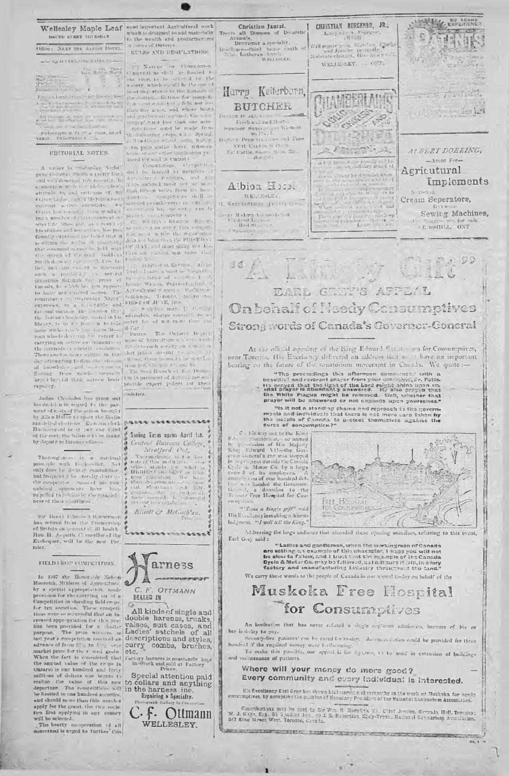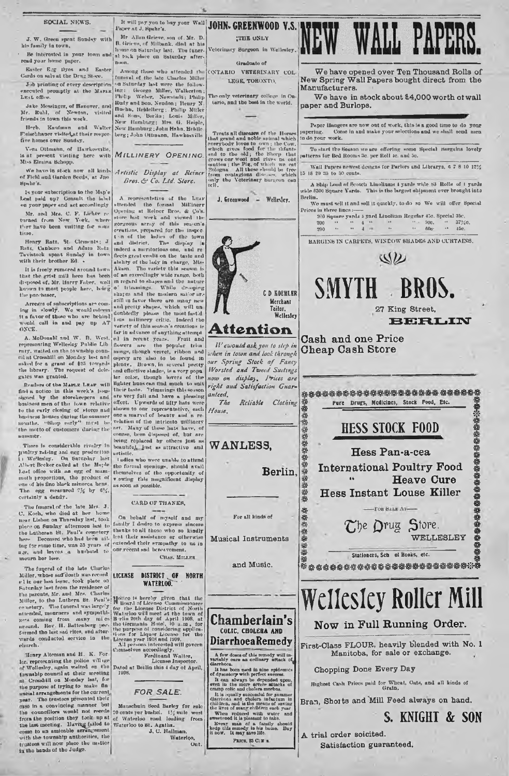